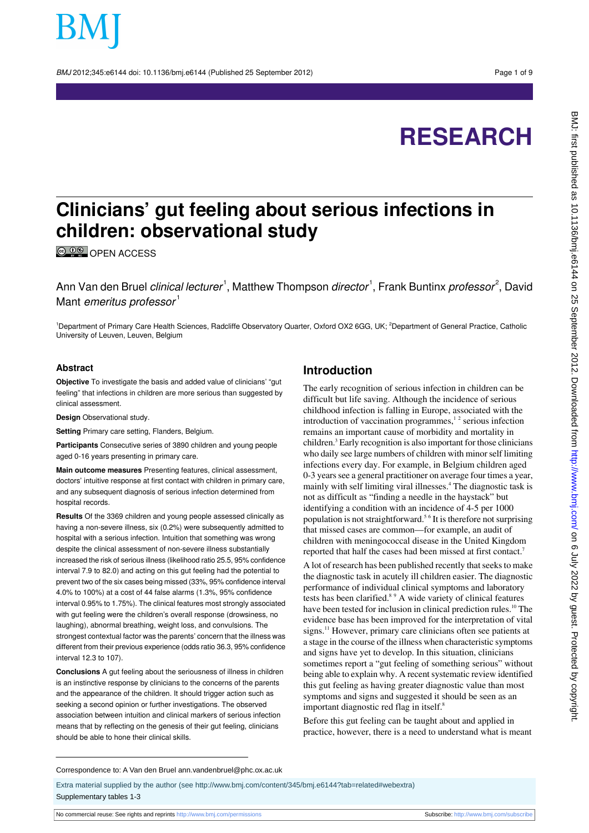BMJ 2012;345:e6144 doi: 10.1136/bmj.e6144 (Published 25 September 2012) Page 1 of 9

# **RESEARCH**

## **Clinicians' gut feeling about serious infections in children: observational study**

**C**  $\overline{O}$  **OPEN ACCESS** 

Ann Van den Bruel *clinical lecturer* 1, Matthew Thompson *director* 1, Frank Buntinx *professor* 2, David Mant emeritus professor<sup>1</sup>

<sup>1</sup>Department of Primary Care Health Sciences, Radcliffe Observatory Quarter, Oxford OX2 6GG, UK; <sup>2</sup>Department of General Practice, Catholic University of Leuven, Leuven, Belgium

#### **Abstract**

**Objective** To investigate the basis and added value of clinicians' "gut feeling" that infections in children are more serious than suggested by clinical assessment.

**Design** Observational study.

**Setting** Primary care setting, Flanders, Belgium.

**Participants** Consecutive series of 3890 children and young people aged 0-16 years presenting in primary care.

**Main outcome measures** Presenting features, clinical assessment, doctors' intuitive response at first contact with children in primary care, and any subsequent diagnosis of serious infection determined from hospital records.

**Results** Of the 3369 children and young people assessed clinically as having a non-severe illness, six (0.2%) were subsequently admitted to hospital with a serious infection. Intuition that something was wrong despite the clinical assessment of non-severe illness substantially increased the risk of serious illness (likelihood ratio 25.5, 95% confidence interval 7.9 to 82.0) and acting on this gut feeling had the potential to prevent two of the six cases being missed (33%, 95% confidence interval 4.0% to 100%) at a cost of 44 false alarms (1.3%, 95% confidence interval 0.95% to 1.75%). The clinical features most strongly associated with gut feeling were the children's overall response (drowsiness, no laughing), abnormal breathing, weight loss, and convulsions. The strongest contextual factor was the parents' concern that the illness was different from their previous experience (odds ratio 36.3, 95% confidence interval 12.3 to 107).

**Conclusions** A gut feeling about the seriousness of illness in children is an instinctive response by clinicians to the concerns of the parents and the appearance of the children. It should trigger action such as seeking a second opinion or further investigations. The observed association between intuition and clinical markers of serious infection means that by reflecting on the genesis of their gut feeling, clinicians should be able to hone their clinical skills.

#### **Introduction**

The early recognition of serious infection in children can be difficult but life saving. Although the incidence of serious childhood infection is falling in Europe, associated with the introduction of vaccination programmes, $1<sup>2</sup>$  serious infection remains an important cause of morbidity and mortality in children.<sup>3</sup> Early recognition is also important for those clinicians who daily see large numbers of children with minor self limiting infections every day. For example, in Belgium children aged 0-3 years see a general practitioner on average four times a year, mainly with self limiting viral illnesses.<sup>4</sup> The diagnostic task is not as difficult as "finding a needle in the haystack" but identifying a condition with an incidence of 4-5 per 1000 population is not straightforward.<sup>56</sup> It is therefore not surprising that missed cases are common—for example, an audit of children with meningococcal disease in the United Kingdom reported that half the cases had been missed at first contact.<sup>7</sup>

A lot of research has been published recently that seeks to make the diagnostic task in acutely ill children easier. The diagnostic performance of individual clinical symptoms and laboratory tests has been clarified.8 9 A wide variety of clinical features have been tested for inclusion in clinical prediction rules.<sup>10</sup> The evidence base has been improved for the interpretation of vital signs.<sup>11</sup> However, primary care clinicians often see patients at a stage in the course of the illness when characteristic symptoms and signs have yet to develop. In this situation, clinicians sometimes report a "gut feeling of something serious" without being able to explain why. A recent systematic review identified this gut feeling as having greater diagnostic value than most symptoms and signs and suggested it should be seen as an important diagnostic red flag in itself.<sup>8</sup>

Before this gut feeling can be taught about and applied in practice, however, there is a need to understand what is meant

#### Correspondence to: A Van den Bruel ann.vandenbruel@phc.ox.ac.uk

Extra material supplied by the author (see [http://www.bmj.com/content/345/bmj.e6144?tab=related#webextra\)](http://www.bmj.com/content/345/bmj.e6144?tab=related#webextra) Supplementary tables 1-3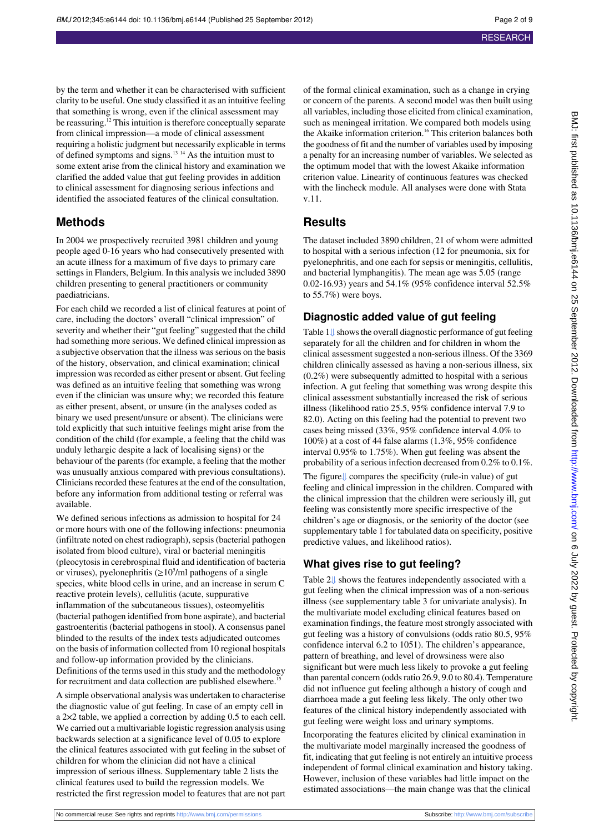by the term and whether it can be characterised with sufficient clarity to be useful. One study classified it as an intuitive feeling that something is wrong, even if the clinical assessment may be reassuring.<sup>12</sup> This intuition is therefore conceptually separate from clinical impression—a mode of clinical assessment requiring a holistic judgment but necessarily explicable in terms of defined symptoms and signs.13 14 As the intuition must to some extent arise from the clinical history and examination we clarified the added value that gut feeling provides in addition to clinical assessment for diagnosing serious infections and identified the associated features of the clinical consultation.

#### **Methods**

In 2004 we prospectively recruited 3981 children and young people aged 0-16 years who had consecutively presented with an acute illness for a maximum of five days to primary care settings in Flanders, Belgium. In this analysis we included 3890 children presenting to general practitioners or community paediatricians.

For each child we recorded a list of clinical features at point of care, including the doctors' overall "clinical impression" of severity and whether their "gut feeling" suggested that the child had something more serious. We defined clinical impression as a subjective observation that the illness was serious on the basis of the history, observation, and clinical examination; clinical impression was recorded as either present or absent. Gut feeling was defined as an intuitive feeling that something was wrong even if the clinician was unsure why; we recorded this feature as either present, absent, or unsure (in the analyses coded as binary we used present/unsure or absent). The clinicians were told explicitly that such intuitive feelings might arise from the condition of the child (for example, a feeling that the child was unduly lethargic despite a lack of localising signs) or the behaviour of the parents (for example, a feeling that the mother was unusually anxious compared with previous consultations). Clinicians recorded these features at the end of the consultation, before any information from additional testing or referral was available.

We defined serious infections as admission to hospital for 24 or more hours with one of the following infections: pneumonia (infiltrate noted on chest radiograph), sepsis (bacterial pathogen isolated from blood culture), viral or bacterial meningitis (pleocytosis in cerebrospinal fluid and identification of bacteria or viruses), pyelonephritis  $(\geq 10^5$ /ml pathogens of a single species, white blood cells in urine, and an increase in serum C reactive protein levels), cellulitis (acute, suppurative inflammation of the subcutaneous tissues), osteomyelitis (bacterial pathogen identified from bone aspirate), and bacterial gastroenteritis (bacterial pathogens in stool). A consensus panel blinded to the results of the index tests adjudicated outcomes on the basis of information collected from 10 regional hospitals and follow-up information provided by the clinicians. Definitions of the terms used in this study and the methodology for recruitment and data collection are published elsewhere.<sup>15</sup>

A simple observational analysis was undertaken to characterise the diagnostic value of gut feeling. In case of an empty cell in a 2×2 table, we applied a correction by adding 0.5 to each cell. We carried out a multivariable logistic regression analysis using backwards selection at a significance level of 0.05 to explore the clinical features associated with gut feeling in the subset of children for whom the clinician did not have a clinical impression of serious illness. Supplementary table 2 lists the clinical features used to build the regression models. We restricted the first regression model to features that are not part

of the formal clinical examination, such as a change in crying or concern of the parents. A second model was then built using all variables, including those elicited from clinical examination, such as meningeal irritation. We compared both models using the Akaike information criterion.<sup>16</sup> This criterion balances both the goodness of fit and the number of variables used by imposing a penalty for an increasing number of variables. We selected as the optimum model that with the lowest Akaike information criterion value. Linearity of continuous features was checked with the lincheck module. All analyses were done with Stata v.11.

## **Results**

The dataset included 3890 children, 21 of whom were admitted to hospital with a serious infection (12 for pneumonia, six for pyelonephritis, and one each for sepsis or meningitis, cellulitis, and bacterial lymphangitis). The mean age was 5.05 (range 0.02-16.93) years and 54.1% (95% confidence interval 52.5% to 55.7%) were boys.

#### **Diagnostic added value of gut feeling**

Table1[⇓](#page-5-0) shows the overall diagnostic performance of gut feeling separately for all the children and for children in whom the clinical assessment suggested a non-serious illness. Of the 3369 children clinically assessed as having a non-serious illness, six (0.2%) were subsequently admitted to hospital with a serious infection. A gut feeling that something was wrong despite this clinical assessment substantially increased the risk of serious illness (likelihood ratio 25.5, 95% confidence interval 7.9 to 82.0). Acting on this feeling had the potential to prevent two cases being missed (33%, 95% confidence interval 4.0% to 100%) at a cost of 44 false alarms (1.3%, 95% confidence interval 0.95% to 1.75%). When gut feeling was absent the probability of a serious infection decreased from 0.2% to 0.1%.

The figure[⇓](#page-8-0) compares the specificity (rule-in value) of gut feeling and clinical impression in the children. Compared with the clinical impression that the children were seriously ill, gut feeling was consistently more specific irrespective of the children's age or diagnosis, or the seniority of the doctor (see supplementary table 1 for tabulated data on specificity, positive predictive values, and likelihood ratios).

#### **What gives rise to gut feeling?**

Table2[⇓](#page-6-0) shows the features independently associated with a gut feeling when the clinical impression was of a non-serious illness (see supplementary table 3 for univariate analysis). In the multivariate model excluding clinical features based on examination findings, the feature most strongly associated with gut feeling was a history of convulsions (odds ratio 80.5, 95% confidence interval 6.2 to 1051). The children's appearance, pattern of breathing, and level of drowsiness were also significant but were much less likely to provoke a gut feeling than parental concern (odds ratio 26.9, 9.0 to 80.4). Temperature did not influence gut feeling although a history of cough and diarrhoea made a gut feeling less likely. The only other two features of the clinical history independently associated with gut feeling were weight loss and urinary symptoms.

Incorporating the features elicited by clinical examination in the multivariate model marginally increased the goodness of fit, indicating that gut feeling is not entirely an intuitive process independent of formal clinical examination and history taking. However, inclusion of these variables had little impact on the estimated associations—the main change was that the clinical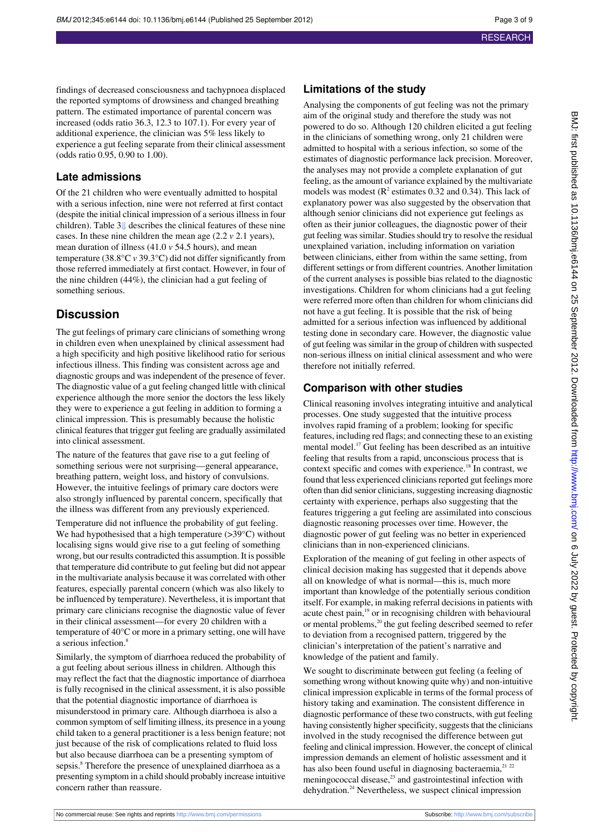findings of decreased consciousness and tachypnoea displaced the reported symptoms of drowsiness and changed breathing pattern. The estimated importance of parental concern was increased (odds ratio 36.3, 12.3 to 107.1). For every year of additional experience, the clinician was 5% less likely to experience a gut feeling separate from their clinical assessment (odds ratio 0.95, 0.90 to 1.00).

## **Late admissions**

Of the 21 children who were eventually admitted to hospital with a serious infection, nine were not referred at first contact (despite the initial clinical impression of a serious illness in four children). Table3[⇓](#page-7-0) describes the clinical features of these nine cases. In these nine children the mean age (2.2 *v* 2.1 years), mean duration of illness (41.0 *v* 54.5 hours), and mean temperature (38.8°C *v* 39.3°C) did not differ significantly from those referred immediately at first contact. However, in four of the nine children (44%), the clinician had a gut feeling of something serious.

## **Discussion**

The gut feelings of primary care clinicians of something wrong in children even when unexplained by clinical assessment had a high specificity and high positive likelihood ratio for serious infectious illness. This finding was consistent across age and diagnostic groups and was independent of the presence of fever. The diagnostic value of a gut feeling changed little with clinical experience although the more senior the doctors the less likely they were to experience a gut feeling in addition to forming a clinical impression. This is presumably because the holistic clinical features that trigger gut feeling are gradually assimilated into clinical assessment.

The nature of the features that gave rise to a gut feeling of something serious were not surprising—general appearance, breathing pattern, weight loss, and history of convulsions. However, the intuitive feelings of primary care doctors were also strongly influenced by parental concern, specifically that the illness was different from any previously experienced. Temperature did not influence the probability of gut feeling. We had hypothesised that a high temperature (>39°C) without localising signs would give rise to a gut feeling of something wrong, but our results contradicted this assumption. It is possible that temperature did contribute to gut feeling but did not appear in the multivariate analysis because it was correlated with other features, especially parental concern (which was also likely to be influenced by temperature). Nevertheless, it is important that primary care clinicians recognise the diagnostic value of fever in their clinical assessment—for every 20 children with a temperature of 40°C or more in a primary setting, one will have a serious infection.<sup>8</sup>

Similarly, the symptom of diarrhoea reduced the probability of a gut feeling about serious illness in children. Although this may reflect the fact that the diagnostic importance of diarrhoea is fully recognised in the clinical assessment, it is also possible that the potential diagnostic importance of diarrhoea is misunderstood in primary care. Although diarrhoea is also a common symptom of self limiting illness, its presence in a young child taken to a general practitioner is a less benign feature; not just because of the risk of complications related to fluid loss but also because diarrhoea can be a presenting symptom of sepsis.<sup>8</sup> Therefore the presence of unexplained diarrhoea as a presenting symptom in a child should probably increase intuitive concern rather than reassure.

## **Limitations of the study**

Analysing the components of gut feeling was not the primary aim of the original study and therefore the study was not powered to do so. Although 120 children elicited a gut feeling in the clinicians of something wrong, only 21 children were admitted to hospital with a serious infection, so some of the estimates of diagnostic performance lack precision. Moreover, the analyses may not provide a complete explanation of gut feeling, as the amount of variance explained by the multivariate models was modest ( $\mathbb{R}^2$  estimates 0.32 and 0.34). This lack of explanatory power was also suggested by the observation that although senior clinicians did not experience gut feelings as often as their junior colleagues, the diagnostic power of their gut feeling was similar. Studies should try to resolve the residual unexplained variation, including information on variation between clinicians, either from within the same setting, from different settings or from different countries. Another limitation of the current analyses is possible bias related to the diagnostic investigations. Children for whom clinicians had a gut feeling were referred more often than children for whom clinicians did not have a gut feeling. It is possible that the risk of being admitted for a serious infection was influenced by additional testing done in secondary care. However, the diagnostic value of gut feeling was similar in the group of children with suspected non-serious illness on initial clinical assessment and who were therefore not initially referred.

## **Comparison with other studies**

Clinical reasoning involves integrating intuitive and analytical processes. One study suggested that the intuitive process involves rapid framing of a problem; looking for specific features, including red flags; and connecting these to an existing mental model.<sup>17</sup> Gut feeling has been described as an intuitive feeling that results from a rapid, unconscious process that is context specific and comes with experience.<sup>18</sup> In contrast, we found that less experienced clinicians reported gut feelings more often than did senior clinicians, suggesting increasing diagnostic certainty with experience, perhaps also suggesting that the features triggering a gut feeling are assimilated into conscious diagnostic reasoning processes over time. However, the diagnostic power of gut feeling was no better in experienced clinicians than in non-experienced clinicians.

Exploration of the meaning of gut feeling in other aspects of clinical decision making has suggested that it depends above all on knowledge of what is normal—this is, much more important than knowledge of the potentially serious condition itself. For example, in making referral decisions in patients with acute chest pain,<sup>19</sup> or in recognising children with behavioural or mental problems,<sup>20</sup> the gut feeling described seemed to refer to deviation from a recognised pattern, triggered by the clinician's interpretation of the patient's narrative and knowledge of the patient and family.

We sought to discriminate between gut feeling (a feeling of something wrong without knowing quite why) and non-intuitive clinical impression explicable in terms of the formal process of history taking and examination. The consistent difference in diagnostic performance of these two constructs, with gut feeling having consistently higher specificity, suggests that the clinicians involved in the study recognised the difference between gut feeling and clinical impression. However, the concept of clinical impression demands an element of holistic assessment and it has also been found useful in diagnosing bacteraemia, $^{21}$   $^{22}$ meningococcal disease, $2<sup>3</sup>$  and gastrointestinal infection with dehydration.<sup>24</sup> Nevertheless, we suspect clinical impression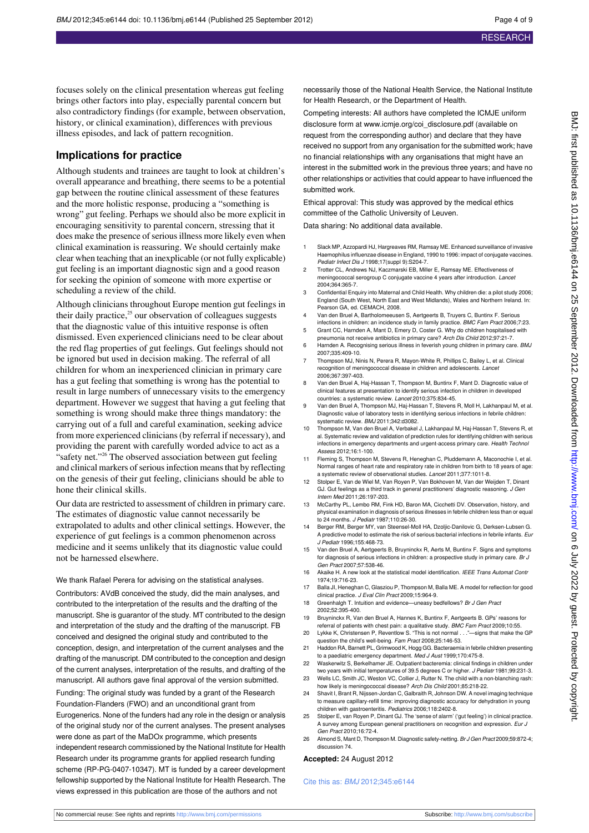focuses solely on the clinical presentation whereas gut feeling brings other factors into play, especially parental concern but also contradictory findings (for example, between observation, history, or clinical examination), differences with previous illness episodes, and lack of pattern recognition.

#### **Implications for practice**

Although students and trainees are taught to look at children's overall appearance and breathing, there seems to be a potential gap between the routine clinical assessment of these features and the more holistic response, producing a "something is wrong" gut feeling. Perhaps we should also be more explicit in encouraging sensitivity to parental concern, stressing that it does make the presence of serious illness more likely even when clinical examination is reassuring. We should certainly make clear when teaching that an inexplicable (or not fully explicable) gut feeling is an important diagnostic sign and a good reason for seeking the opinion of someone with more expertise or scheduling a review of the child.

Although clinicians throughout Europe mention gut feelings in their daily practice, $25$  our observation of colleagues suggests that the diagnostic value of this intuitive response is often dismissed. Even experienced clinicians need to be clear about the red flag properties of gut feelings. Gut feelings should not be ignored but used in decision making. The referral of all children for whom an inexperienced clinician in primary care has a gut feeling that something is wrong has the potential to result in large numbers of unnecessary visits to the emergency department. However we suggest that having a gut feeling that something is wrong should make three things mandatory: the carrying out of a full and careful examination, seeking advice from more experienced clinicians (by referral if necessary), and providing the parent with carefully worded advice to act as a "safety net."<sup>26</sup> The observed association between gut feeling and clinical markers of serious infection means that by reflecting on the genesis of their gut feeling, clinicians should be able to hone their clinical skills.

Our data are restricted to assessment of children in primary care. The estimates of diagnostic value cannot necessarily be extrapolated to adults and other clinical settings. However, the experience of gut feelings is a common phenomenon across medicine and it seems unlikely that its diagnostic value could not be harnessed elsewhere.

We thank Rafael Perera for advising on the statistical analyses. Contributors: AVdB conceived the study, did the main analyses, and contributed to the interpretation of the results and the drafting of the manuscript. She is guarantor of the study. MT contributed to the design and interpretation of the study and the drafting of the manuscript. FB conceived and designed the original study and contributed to the conception, design, and interpretation of the current analyses and the drafting of the manuscript. DM contributed to the conception and design of the current analyses, interpretation of the results, and drafting of the manuscript. All authors gave final approval of the version submitted. Funding: The original study was funded by a grant of the Research Foundation-Flanders (FWO) and an unconditional grant from Eurogenerics. None of the funders had any role in the design or analysis of the original study nor of the current analyses. The present analyses were done as part of the MaDOx programme, which presents independent research commissioned by the National Institute for Health Research under its programme grants for applied research funding scheme (RP-PG-0407-10347). MT is funded by a career development fellowship supported by the National Institute for Health Research. The views expressed in this publication are those of the authors and not

necessarily those of the National Health Service, the National Institute for Health Research, or the Department of Health.

Competing interests: All authors have completed the ICMJE uniform disclosure form at [www.icmje.org/coi\\_disclosure.pdf](http://www.icmje.org/coi_disclosure.pdf) (available on request from the corresponding author) and declare that they have received no support from any organisation for the submitted work; have no financial relationships with any organisations that might have an interest in the submitted work in the previous three years; and have no other relationships or activities that could appear to have influenced the submitted work.

Ethical approval: This study was approved by the medical ethics committee of the Catholic University of Leuven.

Data sharing: No additional data available.

- 1 Slack MP, Azzopardi HJ, Hargreaves RM, Ramsay ME. Enhanced surveillance of invasive Haemophilus influenzae disease in England, 1990 to 1996: impact of conjugate vaccines. Pediatr Infect Dis J 1998;17(suppl 9):S204-7.
- 2 Trotter CL, Andrews NJ, Kaczmarski EB, Miller E, Ramsay ME. Effectiveness of meningococcal serogroup C conjugate vaccine 4 years after introduction. Lancet 2004;364:365-7.
- 3 Confidential Enquiry into Maternal and Child Health. Why children die: a pilot study 2006; England (South West, North East and West Midlands), Wales and Northern Ireland. In: Pearson GA, ed. CEMACH, 2008.
- 4 Van den Bruel A, Bartholomeeusen S, Aertgeerts B, Truyers C, Buntinx F. Serious infections in children: an incidence study in family practice. BMC Fam Pract 2006;7:23.
- 5 Grant CC, Harnden A, Mant D, Emery D, Coster G. Why do children hospitalised with pneumonia not receive antibiotics in primary care? Arch Dis Child 2012;97:21-7.
- 6 Harnden A. Recognising serious illness in feverish young children in primary care. BMJ 2007;335:409-10.
- 7 Thompson MJ, Ninis N, Perera R, Mayon-White R, Phillips C, Bailey L, et al. Clinical recognition of meningococcal disease in children and adolescents. Lancet 2006;367:397-403.
- 8 Van den Bruel A, Haj-Hassan T, Thompson M, Buntinx F, Mant D. Diagnostic value of clinical features at presentation to identify serious infection in children in developed countries: a systematic review. Lancet 2010;375:834-45.
- 9 Van den Bruel A, Thompson MJ, Haj-Hassan T, Stevens R, Moll H, Lakhanpaul M, et al. Diagnostic value of laboratory tests in identifying serious infections in febrile children: systematic review. BMJ 2011;342:d3082.
- 10 Thompson M, Van den Bruel A, Verbakel J, Lakhanpaul M, Haj-Hassan T, Stevens R, et al. Systematic review and validation of prediction rules for identifying children with serious infections in emergency departments and urgent-access primary care. Health Technol Assess 2012;16:1-100.
- 11 Fleming S, Thompson M, Stevens R, Heneghan C, Pluddemann A, Maconochie I, et al. Normal ranges of heart rate and respiratory rate in children from birth to 18 years of age: a systematic review of observational studies. Lancet 2011;377:1011-8.
- 12 Stolper E, Van de Wiel M, Van Royen P, Van Bokhoven M, Van der Weijden T, Dinant GJ. Gut feelings as a third track in general practitioners' diagnostic reasoning. J Gen Intern Med 2011;26:197-203.
- 13 McCarthy PL, Lembo RM, Fink HD, Baron MA, Cicchetti DV. Observation, history, and physical examination in diagnosis of serious illnesses in febrile children less than or equal to 24 months. J Pediatr 1987;110:26-30.
- 14 Berger RM, Berger MY, van Steensel-Moll HA, Dzoljic-Danilovic G, Derksen-Lubsen G. A predictive model to estimate the risk of serious bacterial infections in febrile infants. Eur J Pediatr 1996;155:468-73.
- 15 Van den Bruel A, Aertgeerts B, Bruyninckx R, Aerts M, Buntinx F. Signs and symptoms for diagnosis of serious infections in children: a prospective study in primary care. Br J Gen Pract 2007;57:538-46.
- 16 Akaike H. A new look at the statistical model identification. IEEE Trans Automat Contr 1974;19:716-23.
- 17 Balla JI, Heneghan C, Glasziou P, Thompson M, Balla ME. A model for reflection for good clinical practice. J Eval Clin Pract 2009;15:964-9.
- 18 Greenhalgh T. Intuition and evidence—uneasy bedfellows? Br J Gen Pract 2002;52:395-400.
- 19 Bruyninckx R, Van den Bruel A, Hannes K, Buntinx F, Aertgeerts B. GPs' reasons for
- referral of patients with chest pain: a qualitative study. BMC Fam Pract 2009;10:55.<br>Lykke K. Christensen P. Reventlow S. "This is not normal . . ."—signs that make the GP 20 Lykke K, Christensen P, Reventlow S. "This is not normal . . ."-
- question the child's well-being. Fam Pract 2008;25:146-53.
- 21 Haddon RA, Barnett PL, Grimwood K, Hogg GG. Bacteraemia in febrile children presenting to a paediatric emergency department. Med J Aust 1999;170:475-8. 22 Waskerwitz S, Berkelhamer JE. Outpatient bacteremia: clinical findings in children under
- two years with initial temperatures of 39.5 degrees C or higher. J Pediatr 1981;99:231-3. 23 Wells LC, Smith JC, Weston VC, Collier J, Rutter N. The child with a non-blanching rash:
- how likely is meningococcal disease? Arch Dis Child 2001;85:218-22. 24 Shavit I, Brant R, Nijssen-Jordan C, Galbraith R, Johnson DW. A novel imaging technique
- to measure capillary-refill time: improving diagnostic accuracy for dehydration in young children with gastroenteritis. Pediatrics 2006;118:2402-8.
- 25 Stolper E, van Royen P, Dinant GJ. The 'sense of alarm' ('gut feeling') in clinical practice. A survey among European general practitioners on recognition and expression. Eur J Gen Pract 2010;16:72-4.
- 26 Almond S, Mant D, Thompson M. Diagnostic safety-netting. Br J Gen Pract 2009;59:872-4; discussion 74.

#### **Accepted:** 24 August 2012

#### Cite this as: BMJ 2012;345:e6144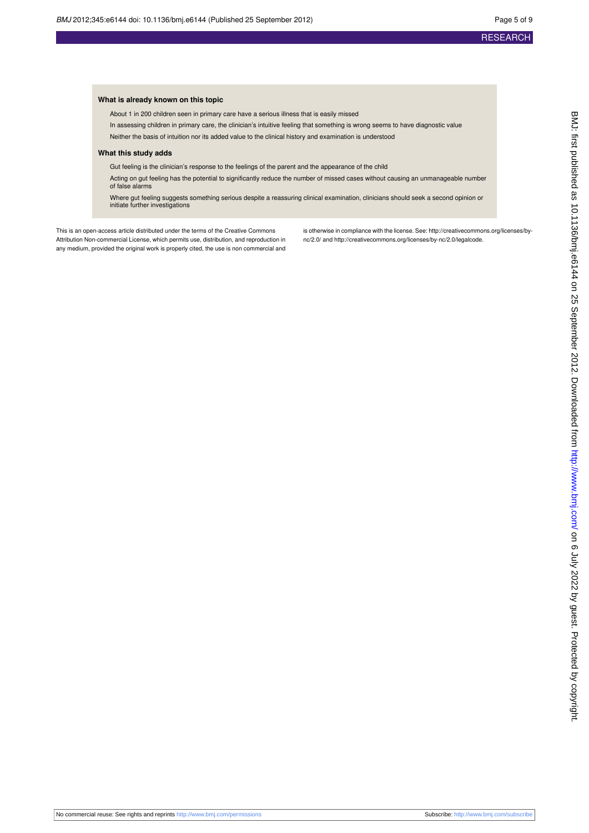#### **What is already known on this topic**

About 1 in 200 children seen in primary care have a serious illness that is easily missed

In assessing children in primary care, the clinician's intuitive feeling that something is wrong seems to have diagnostic value

Neither the basis of intuition nor its added value to the clinical history and examination is understood

#### **What this study adds**

Gut feeling is the clinician's response to the feelings of the parent and the appearance of the child

Acting on gut feeling has the potential to significantly reduce the number of missed cases without causing an unmanageable number of false alarms

Where gut feeling suggests something serious despite a reassuring clinical examination, clinicians should seek a second opinion or initiate further investigations

This is an open-access article distributed under the terms of the Creative Commons Attribution Non-commercial License, which permits use, distribution, and reproduction in any medium, provided the original work is properly cited, the use is non commercial and is otherwise in compliance with the license. See: [http://creativecommons.org/licenses/by](http://creativecommons.org/licenses/by-nc/2.0/)[nc/2.0/](http://creativecommons.org/licenses/by-nc/2.0/) and<http://creativecommons.org/licenses/by-nc/2.0/legalcode>.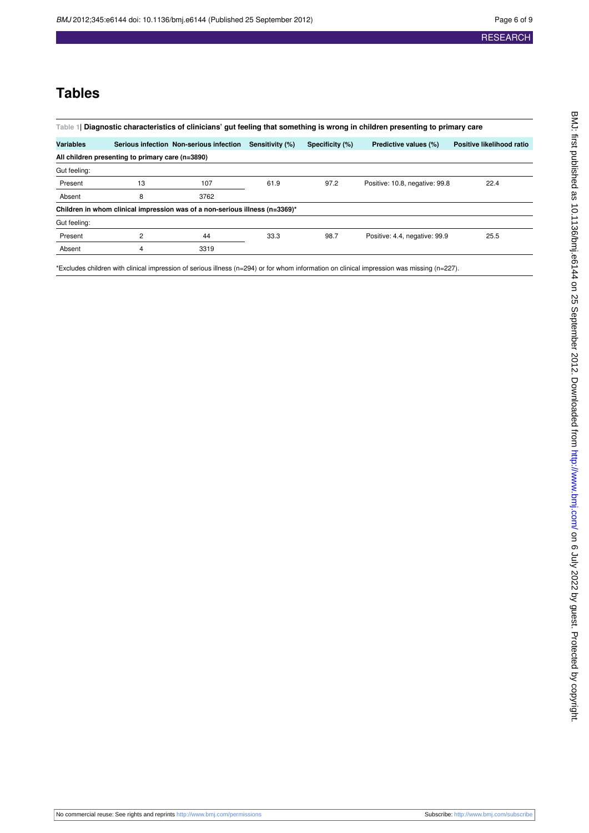## **Tables**

<span id="page-5-0"></span>

| Table 1 Diagnostic characteristics of clinicians' gut feeling that something is wrong in children presenting to primary care |    |                                         |                 |                 |                                |                           |  |  |  |  |  |
|------------------------------------------------------------------------------------------------------------------------------|----|-----------------------------------------|-----------------|-----------------|--------------------------------|---------------------------|--|--|--|--|--|
|                                                                                                                              |    |                                         |                 |                 |                                |                           |  |  |  |  |  |
| <b>Variables</b>                                                                                                             |    | Serious infection Non-serious infection | Sensitivity (%) | Specificity (%) | Predictive values (%)          | Positive likelihood ratio |  |  |  |  |  |
| All children presenting to primary care (n=3890)                                                                             |    |                                         |                 |                 |                                |                           |  |  |  |  |  |
| Gut feeling:                                                                                                                 |    |                                         |                 |                 |                                |                           |  |  |  |  |  |
| Present                                                                                                                      | 13 | 107                                     | 61.9            | 97.2            | Positive: 10.8, negative: 99.8 | 22.4                      |  |  |  |  |  |
| Absent                                                                                                                       | 8  | 3762                                    |                 |                 |                                |                           |  |  |  |  |  |
| Children in whom clinical impression was of a non-serious illness (n=3369)*                                                  |    |                                         |                 |                 |                                |                           |  |  |  |  |  |
| Gut feeling:                                                                                                                 |    |                                         |                 |                 |                                |                           |  |  |  |  |  |
| Present                                                                                                                      | 2  | 44                                      | 33.3            | 98.7            | Positive: 4.4, negative: 99.9  | 25.5                      |  |  |  |  |  |
| Absent                                                                                                                       | 4  | 3319                                    |                 |                 |                                |                           |  |  |  |  |  |

\*Excludes children with clinical impression of serious illness (n=294) or for whom information on clinical impression was missing (n=227).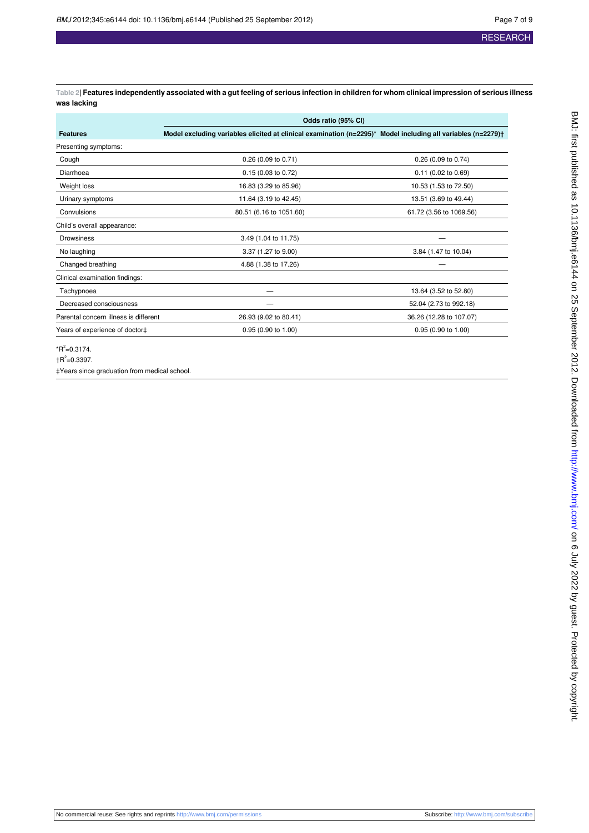<span id="page-6-0"></span>**Table 2| Features independently associated with a gut feeling of serious infection in children for whom clinical impression of serious illness was lacking**

|                                       | Odds ratio (95% CI)                                                                                          |                         |  |  |  |  |
|---------------------------------------|--------------------------------------------------------------------------------------------------------------|-------------------------|--|--|--|--|
| <b>Features</b>                       | Model excluding variables elicited at clinical examination (n=2295)* Model including all variables (n=2279)† |                         |  |  |  |  |
| Presenting symptoms:                  |                                                                                                              |                         |  |  |  |  |
| Cough                                 | 0.26 (0.09 to 0.71)                                                                                          | 0.26 (0.09 to 0.74)     |  |  |  |  |
| Diarrhoea                             | 0.15(0.03 to 0.72)                                                                                           | $0.11$ (0.02 to 0.69)   |  |  |  |  |
| Weight loss                           | 16.83 (3.29 to 85.96)                                                                                        | 10.53 (1.53 to 72.50)   |  |  |  |  |
| Urinary symptoms                      | 11.64 (3.19 to 42.45)                                                                                        | 13.51 (3.69 to 49.44)   |  |  |  |  |
| Convulsions                           | 80.51 (6.16 to 1051.60)                                                                                      | 61.72 (3.56 to 1069.56) |  |  |  |  |
| Child's overall appearance:           |                                                                                                              |                         |  |  |  |  |
| <b>Drowsiness</b>                     | 3.49 (1.04 to 11.75)                                                                                         |                         |  |  |  |  |
| No laughing                           | 3.37 (1.27 to 9.00)                                                                                          | 3.84 (1.47 to 10.04)    |  |  |  |  |
| Changed breathing                     | 4.88 (1.38 to 17.26)                                                                                         |                         |  |  |  |  |
| Clinical examination findings:        |                                                                                                              |                         |  |  |  |  |
| Tachypnoea                            |                                                                                                              | 13.64 (3.52 to 52.80)   |  |  |  |  |
| Decreased consciousness               |                                                                                                              | 52.04 (2.73 to 992.18)  |  |  |  |  |
| Parental concern illness is different | 26.93 (9.02 to 80.41)                                                                                        | 36.26 (12.28 to 107.07) |  |  |  |  |
| Years of experience of doctor‡        | 0.95 (0.90 to 1.00)                                                                                          | 0.95 (0.90 to 1.00)     |  |  |  |  |

 $*$ R<sup>2</sup>=0.3174.

 $\uparrow$ R<sup>2</sup>=0.3397.

‡Years since graduation from medical school.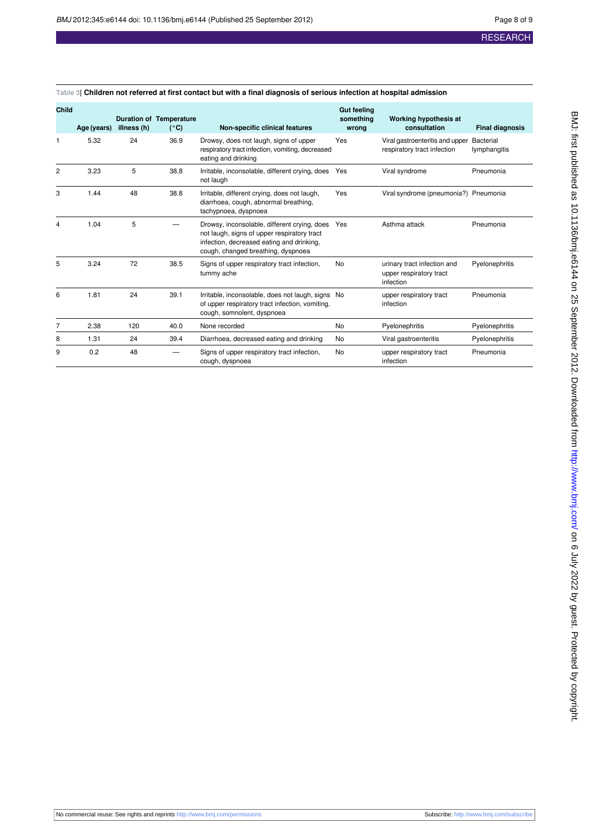| <b>Child</b>   | Age (years) | illness (h) | <b>Duration of Temperature</b><br>$(^{\circ}C)$ | Non-specific clinical features                                                                                                                                                 | <b>Gut feeling</b><br>something<br>wrong | Working hypothesis at<br>consultation                                    | <b>Final diagnosis</b> |
|----------------|-------------|-------------|-------------------------------------------------|--------------------------------------------------------------------------------------------------------------------------------------------------------------------------------|------------------------------------------|--------------------------------------------------------------------------|------------------------|
| 1              | 5.32        | 24          | 36.9                                            | Drowsy, does not laugh, signs of upper<br>respiratory tract infection, vomiting, decreased<br>eating and drinking                                                              | Yes                                      | Viral gastroenteritis and upper Bacterial<br>respiratory tract infection | lymphangitis           |
| $\overline{2}$ | 3.23        | 5           | 38.8                                            | Irritable, inconsolable, different crying, does<br>not laugh                                                                                                                   | Yes                                      | Viral syndrome                                                           | Pneumonia              |
| 3              | 1.44        | 48          | 38.8                                            | Irritable, different crying, does not laugh,<br>diarrhoea, cough, abnormal breathing,<br>tachypnoea, dyspnoea                                                                  | Yes                                      | Viral syndrome (pneumonia?) Pneumonia                                    |                        |
| 4              | 1.04        | 5           |                                                 | Drowsy, inconsolable, different crying, does<br>not laugh, signs of upper respiratory tract<br>infection, decreased eating and drinking,<br>cough, changed breathing, dyspnoea | Yes                                      | Asthma attack                                                            | Pneumonia              |
| 5              | 3.24        | 72          | 38.5                                            | Signs of upper respiratory tract infection,<br>tummy ache                                                                                                                      | <b>No</b>                                | urinary tract infection and<br>upper respiratory tract<br>infection      | Pyelonephritis         |
| 6              | 1.81        | 24          | 39.1                                            | Irritable, inconsolable, does not laugh, signs No<br>of upper respiratory tract infection, vomiting,<br>cough, somnolent, dyspnoea                                             |                                          | upper respiratory tract<br>infection                                     | Pneumonia              |
| 7              | 2.38        | 120         | 40.0                                            | None recorded                                                                                                                                                                  | No                                       | Pyelonephritis                                                           | Pyelonephritis         |
| 8              | 1.31        | 24          | 39.4                                            | Diarrhoea, decreased eating and drinking                                                                                                                                       | No                                       | Viral gastroenteritis                                                    | Pyelonephritis         |
| 9              | 0.2         | 48          |                                                 | Signs of upper respiratory tract infection,<br>cough, dyspnoea                                                                                                                 | <b>No</b>                                | upper respiratory tract<br>infection                                     | Pneumonia              |

#### <span id="page-7-0"></span>**Table 3| Children not referred at first contact but with a final diagnosis of serious infection at hospital admission**